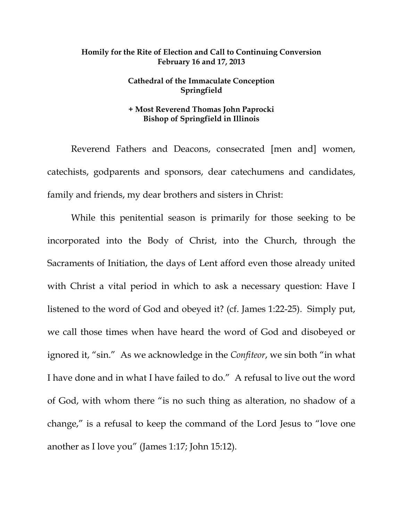## **Homily for the Rite of Election and Call to Continuing Conversion February 16 and 17, 2013**

## **Cathedral of the Immaculate Conception Springfield**

## **+ Most Reverend Thomas John Paprocki Bishop of Springfield in Illinois**

 Reverend Fathers and Deacons, consecrated [men and] women, catechists, godparents and sponsors, dear catechumens and candidates, family and friends, my dear brothers and sisters in Christ:

 While this penitential season is primarily for those seeking to be incorporated into the Body of Christ, into the Church, through the Sacraments of Initiation, the days of Lent afford even those already united with Christ a vital period in which to ask a necessary question: Have I listened to the word of God and obeyed it? (cf. James 1:22-25). Simply put, we call those times when have heard the word of God and disobeyed or ignored it, "sin." As we acknowledge in the *Confiteor*, we sin both "in what I have done and in what I have failed to do." A refusal to live out the word of God, with whom there "is no such thing as alteration, no shadow of a change," is a refusal to keep the command of the Lord Jesus to "love one another as I love you" (James 1:17; John 15:12).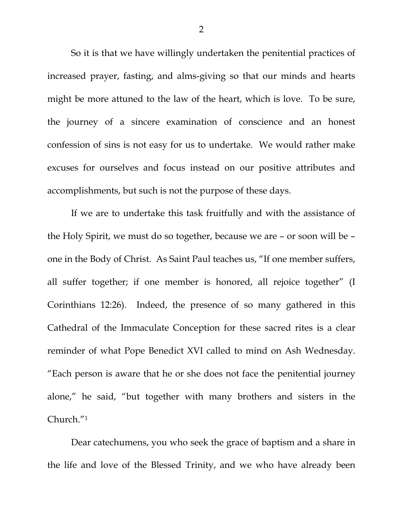So it is that we have willingly undertaken the penitential practices of increased prayer, fasting, and alms-giving so that our minds and hearts might be more attuned to the law of the heart, which is love. To be sure, the journey of a sincere examination of conscience and an honest confession of sins is not easy for us to undertake. We would rather make excuses for ourselves and focus instead on our positive attributes and accomplishments, but such is not the purpose of these days.

 If we are to undertake this task fruitfully and with the assistance of the Holy Spirit, we must do so together, because we are – or soon will be – one in the Body of Christ. As Saint Paul teaches us, "If one member suffers, all suffer together; if one member is honored, all rejoice together" (I Corinthians 12:26). Indeed, the presence of so many gathered in this Cathedral of the Immaculate Conception for these sacred rites is a clear reminder of what Pope Benedict XVI called to mind on Ash Wednesday. "Each person is aware that he or she does not face the penitential journey alone," he said, "but together with many brothers and sisters in the Church."1

 Dear catechumens, you who seek the grace of baptism and a share in the life and love of the Blessed Trinity, and we who have already been

2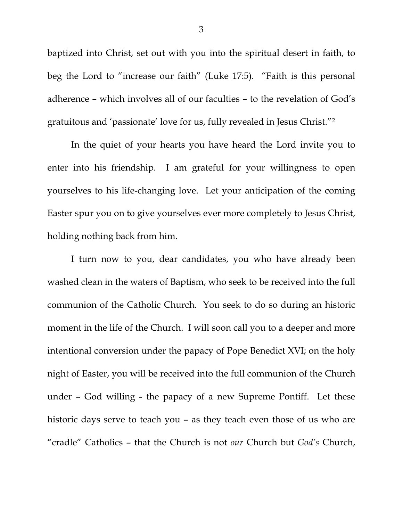baptized into Christ, set out with you into the spiritual desert in faith, to beg the Lord to "increase our faith" (Luke 17:5). "Faith is this personal adherence – which involves all of our faculties – to the revelation of God's gratuitous and 'passionate' love for us, fully revealed in Jesus Christ."2

 In the quiet of your hearts you have heard the Lord invite you to enter into his friendship. I am grateful for your willingness to open yourselves to his life-changing love. Let your anticipation of the coming Easter spur you on to give yourselves ever more completely to Jesus Christ, holding nothing back from him.

I turn now to you, dear candidates, you who have already been washed clean in the waters of Baptism, who seek to be received into the full communion of the Catholic Church. You seek to do so during an historic moment in the life of the Church. I will soon call you to a deeper and more intentional conversion under the papacy of Pope Benedict XVI; on the holy night of Easter, you will be received into the full communion of the Church under – God willing - the papacy of a new Supreme Pontiff. Let these historic days serve to teach you – as they teach even those of us who are "cradle" Catholics – that the Church is not *our* Church but *God's* Church,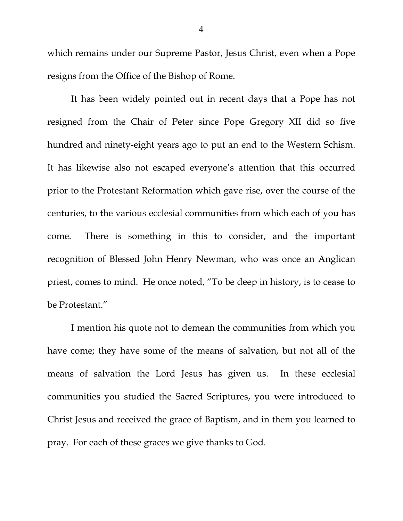which remains under our Supreme Pastor, Jesus Christ, even when a Pope resigns from the Office of the Bishop of Rome.

 It has been widely pointed out in recent days that a Pope has not resigned from the Chair of Peter since Pope Gregory XII did so five hundred and ninety-eight years ago to put an end to the Western Schism. It has likewise also not escaped everyone's attention that this occurred prior to the Protestant Reformation which gave rise, over the course of the centuries, to the various ecclesial communities from which each of you has come. There is something in this to consider, and the important recognition of Blessed John Henry Newman, who was once an Anglican priest, comes to mind. He once noted, "To be deep in history, is to cease to be Protestant."

 I mention his quote not to demean the communities from which you have come; they have some of the means of salvation, but not all of the means of salvation the Lord Jesus has given us. In these ecclesial communities you studied the Sacred Scriptures, you were introduced to Christ Jesus and received the grace of Baptism, and in them you learned to pray. For each of these graces we give thanks to God.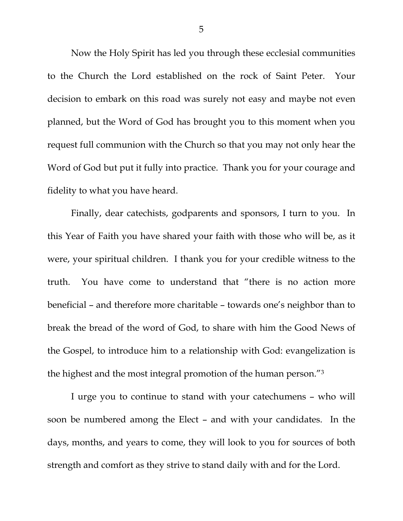Now the Holy Spirit has led you through these ecclesial communities to the Church the Lord established on the rock of Saint Peter. Your decision to embark on this road was surely not easy and maybe not even planned, but the Word of God has brought you to this moment when you request full communion with the Church so that you may not only hear the Word of God but put it fully into practice. Thank you for your courage and fidelity to what you have heard.

 Finally, dear catechists, godparents and sponsors, I turn to you. In this Year of Faith you have shared your faith with those who will be, as it were, your spiritual children. I thank you for your credible witness to the truth. You have come to understand that "there is no action more beneficial – and therefore more charitable – towards one's neighbor than to break the bread of the word of God, to share with him the Good News of the Gospel, to introduce him to a relationship with God: evangelization is the highest and the most integral promotion of the human person."3

 I urge you to continue to stand with your catechumens – who will soon be numbered among the Elect – and with your candidates. In the days, months, and years to come, they will look to you for sources of both strength and comfort as they strive to stand daily with and for the Lord.